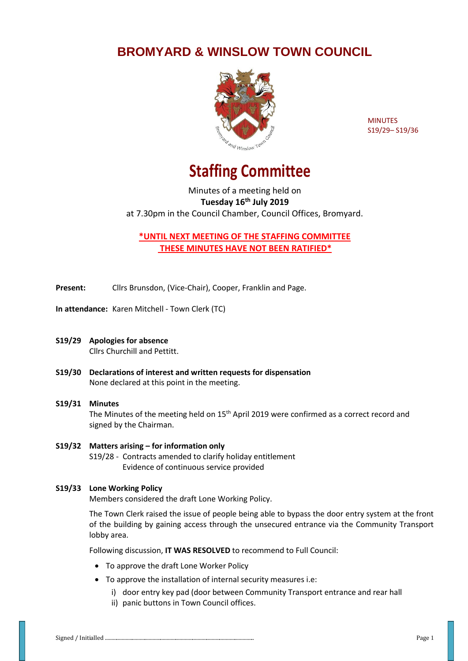## **BROMYARD & WINSLOW TOWN COUNCIL**



**MINUTES** S19/29– S19/36

# **Staffing Committee**

Minutes of a meeting held on **Tuesday 16th July 2019** at 7.30pm in the Council Chamber, Council Offices, Bromyard.

**\*UNTIL NEXT MEETING OF THE STAFFING COMMITTEE THESE MINUTES HAVE NOT BEEN RATIFIED\***

**Present:** Cllrs Brunsdon, (Vice-Chair), Cooper, Franklin and Page.

**In attendance:** Karen Mitchell - Town Clerk (TC)

- **S19/29 Apologies for absence** Cllrs Churchill and Pettitt.
- **S19/30 Declarations of interest and written requests for dispensation** None declared at this point in the meeting.

### **S19/31 Minutes**  The Minutes of the meeting held on 15<sup>th</sup> April 2019 were confirmed as a correct record and signed by the Chairman.

#### **S19/32 Matters arising – for information only** S19/28 - Contracts amended to clarify holiday entitlement Evidence of continuous service provided

#### **S19/33 Lone Working Policy**

Members considered the draft Lone Working Policy.

The Town Clerk raised the issue of people being able to bypass the door entry system at the front of the building by gaining access through the unsecured entrance via the Community Transport lobby area.

Following discussion, **IT WAS RESOLVED** to recommend to Full Council:

- To approve the draft Lone Worker Policy
- To approve the installation of internal security measures i.e:
	- i) door entry key pad (door between Community Transport entrance and rear hall ii) panic buttons in Town Council offices.